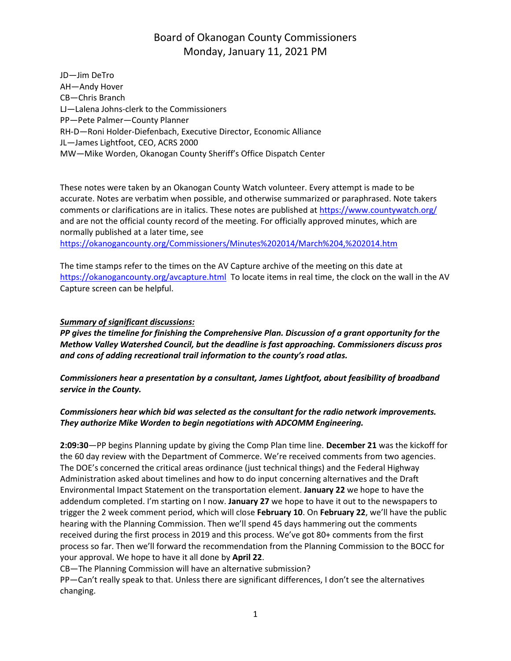JD—Jim DeTro AH—Andy Hover CB—Chris Branch LJ—Lalena Johns-clerk to the Commissioners PP—Pete Palmer—County Planner RH-D—Roni Holder-Diefenbach, Executive Director, Economic Alliance JL—James Lightfoot, CEO, ACRS 2000 MW—Mike Worden, Okanogan County Sheriff's Office Dispatch Center

These notes were taken by an Okanogan County Watch volunteer. Every attempt is made to be accurate. Notes are verbatim when possible, and otherwise summarized or paraphrased. Note takers comments or clarifications are in italics. These notes are published at<https://www.countywatch.org/> and are not the official county record of the meeting. For officially approved minutes, which are normally published at a later time, see

<https://okanogancounty.org/Commissioners/Minutes%202014/March%204,%202014.htm>

The time stamps refer to the times on the AV Capture archive of the meeting on this date at <https://okanogancounty.org/avcapture.html>To locate items in real time, the clock on the wall in the AV Capture screen can be helpful.

#### *Summary of significant discussions:*

*PP gives the timeline for finishing the Comprehensive Plan. Discussion of a grant opportunity for the Methow Valley Watershed Council, but the deadline is fast approaching. Commissioners discuss pros and cons of adding recreational trail information to the county's road atlas.*

*Commissioners hear a presentation by a consultant, James Lightfoot, about feasibility of broadband service in the County.*

#### *Commissioners hear which bid was selected as the consultant for the radio network improvements. They authorize Mike Worden to begin negotiations with ADCOMM Engineering.*

**2:09:30**—PP begins Planning update by giving the Comp Plan time line. **December 21** was the kickoff for the 60 day review with the Department of Commerce. We're received comments from two agencies. The DOE's concerned the critical areas ordinance (just technical things) and the Federal Highway Administration asked about timelines and how to do input concerning alternatives and the Draft Environmental Impact Statement on the transportation element. **January 22** we hope to have the addendum completed. I'm starting on I now. **January 27** we hope to have it out to the newspapers to trigger the 2 week comment period, which will close **February 10**. On **February 22**, we'll have the public hearing with the Planning Commission. Then we'll spend 45 days hammering out the comments received during the first process in 2019 and this process. We've got 80+ comments from the first process so far. Then we'll forward the recommendation from the Planning Commission to the BOCC for your approval. We hope to have it all done by **April 22**.

CB—The Planning Commission will have an alternative submission?

PP—Can't really speak to that. Unless there are significant differences, I don't see the alternatives changing.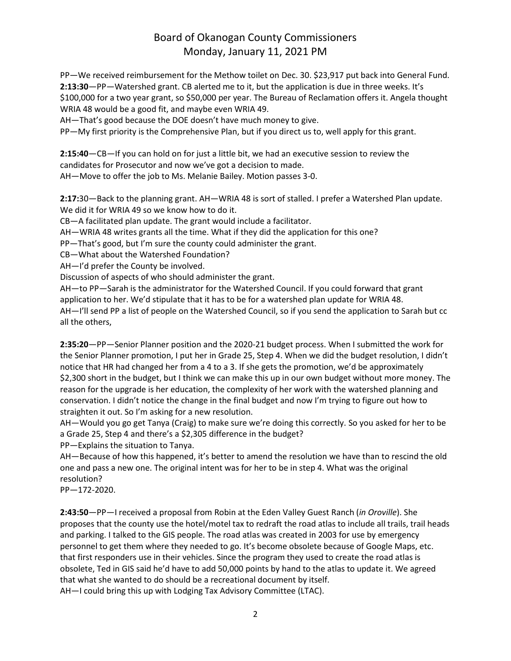PP—We received reimbursement for the Methow toilet on Dec. 30. \$23,917 put back into General Fund. **2:13:30**—PP—Watershed grant. CB alerted me to it, but the application is due in three weeks. It's \$100,000 for a two year grant, so \$50,000 per year. The Bureau of Reclamation offers it. Angela thought WRIA 48 would be a good fit, and maybe even WRIA 49.

AH—That's good because the DOE doesn't have much money to give.

PP—My first priority is the Comprehensive Plan, but if you direct us to, well apply for this grant.

**2:15:40**—CB—If you can hold on for just a little bit, we had an executive session to review the candidates for Prosecutor and now we've got a decision to made.

AH—Move to offer the job to Ms. Melanie Bailey. Motion passes 3-0.

**2:17:**30—Back to the planning grant. AH—WRIA 48 is sort of stalled. I prefer a Watershed Plan update. We did it for WRIA 49 so we know how to do it.

CB—A facilitated plan update. The grant would include a facilitator.

AH—WRIA 48 writes grants all the time. What if they did the application for this one?

PP—That's good, but I'm sure the county could administer the grant.

CB—What about the Watershed Foundation?

AH—I'd prefer the County be involved.

Discussion of aspects of who should administer the grant.

AH—to PP—Sarah is the administrator for the Watershed Council. If you could forward that grant application to her. We'd stipulate that it has to be for a watershed plan update for WRIA 48. AH—I'll send PP a list of people on the Watershed Council, so if you send the application to Sarah but cc

all the others,

**2:35:20**—PP—Senior Planner position and the 2020-21 budget process. When I submitted the work for the Senior Planner promotion, I put her in Grade 25, Step 4. When we did the budget resolution, I didn't notice that HR had changed her from a 4 to a 3. If she gets the promotion, we'd be approximately \$2,300 short in the budget, but I think we can make this up in our own budget without more money. The reason for the upgrade is her education, the complexity of her work with the watershed planning and conservation. I didn't notice the change in the final budget and now I'm trying to figure out how to straighten it out. So I'm asking for a new resolution.

AH—Would you go get Tanya (Craig) to make sure we're doing this correctly. So you asked for her to be a Grade 25, Step 4 and there's a \$2,305 difference in the budget?

PP—Explains the situation to Tanya.

AH—Because of how this happened, it's better to amend the resolution we have than to rescind the old one and pass a new one. The original intent was for her to be in step 4. What was the original resolution?

PP—172-2020.

**2:43:50**—PP—I received a proposal from Robin at the Eden Valley Guest Ranch (*in Oroville*). She proposes that the county use the hotel/motel tax to redraft the road atlas to include all trails, trail heads and parking. I talked to the GIS people. The road atlas was created in 2003 for use by emergency personnel to get them where they needed to go. It's become obsolete because of Google Maps, etc. that first responders use in their vehicles. Since the program they used to create the road atlas is obsolete, Ted in GIS said he'd have to add 50,000 points by hand to the atlas to update it. We agreed that what she wanted to do should be a recreational document by itself. AH—I could bring this up with Lodging Tax Advisory Committee (LTAC).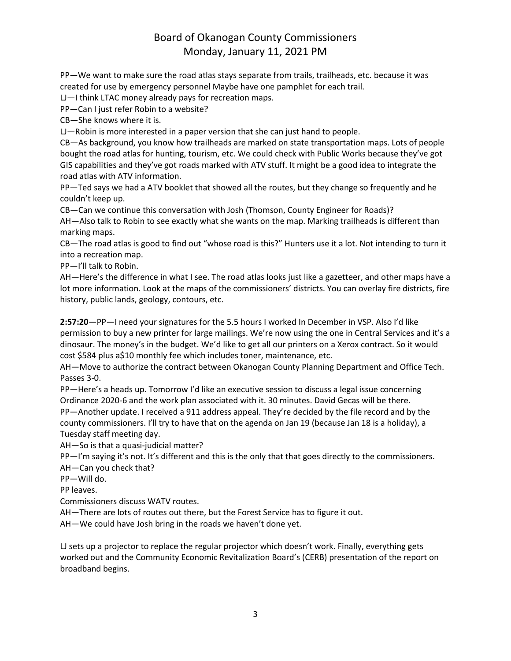PP—We want to make sure the road atlas stays separate from trails, trailheads, etc. because it was created for use by emergency personnel Maybe have one pamphlet for each trail.

LJ—I think LTAC money already pays for recreation maps.

PP—Can I just refer Robin to a website?

CB—She knows where it is.

LJ—Robin is more interested in a paper version that she can just hand to people.

CB—As background, you know how trailheads are marked on state transportation maps. Lots of people bought the road atlas for hunting, tourism, etc. We could check with Public Works because they've got GIS capabilities and they've got roads marked with ATV stuff. It might be a good idea to integrate the road atlas with ATV information.

PP—Ted says we had a ATV booklet that showed all the routes, but they change so frequently and he couldn't keep up.

CB—Can we continue this conversation with Josh (Thomson, County Engineer for Roads)?

AH—Also talk to Robin to see exactly what she wants on the map. Marking trailheads is different than marking maps.

CB—The road atlas is good to find out "whose road is this?" Hunters use it a lot. Not intending to turn it into a recreation map.

PP—I'll talk to Robin.

AH—Here's the difference in what I see. The road atlas looks just like a gazetteer, and other maps have a lot more information. Look at the maps of the commissioners' districts. You can overlay fire districts, fire history, public lands, geology, contours, etc.

**2:57:20**—PP—I need your signatures for the 5.5 hours I worked In December in VSP. Also I'd like permission to buy a new printer for large mailings. We're now using the one in Central Services and it's a dinosaur. The money's in the budget. We'd like to get all our printers on a Xerox contract. So it would cost \$584 plus a\$10 monthly fee which includes toner, maintenance, etc.

AH—Move to authorize the contract between Okanogan County Planning Department and Office Tech. Passes 3-0.

PP—Here's a heads up. Tomorrow I'd like an executive session to discuss a legal issue concerning Ordinance 2020-6 and the work plan associated with it. 30 minutes. David Gecas will be there. PP—Another update. I received a 911 address appeal. They're decided by the file record and by the county commissioners. I'll try to have that on the agenda on Jan 19 (because Jan 18 is a holiday), a Tuesday staff meeting day.

AH—So is that a quasi-judicial matter?

PP—I'm saying it's not. It's different and this is the only that that goes directly to the commissioners. AH—Can you check that?

PP—Will do.

PP leaves.

Commissioners discuss WATV routes.

AH—There are lots of routes out there, but the Forest Service has to figure it out.

AH—We could have Josh bring in the roads we haven't done yet.

LJ sets up a projector to replace the regular projector which doesn't work. Finally, everything gets worked out and the Community Economic Revitalization Board's (CERB) presentation of the report on broadband begins.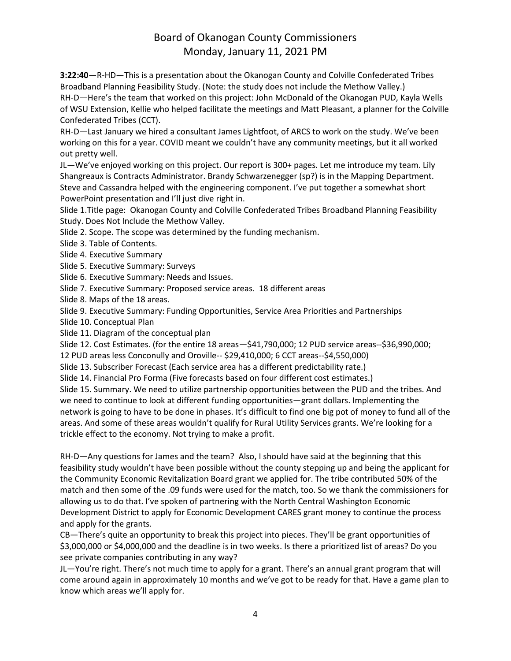**3:22:40**—R-HD—This is a presentation about the Okanogan County and Colville Confederated Tribes Broadband Planning Feasibility Study. (Note: the study does not include the Methow Valley.) RH-D—Here's the team that worked on this project: John McDonald of the Okanogan PUD, Kayla Wells of WSU Extension, Kellie who helped facilitate the meetings and Matt Pleasant, a planner for the Colville Confederated Tribes (CCT).

RH-D—Last January we hired a consultant James Lightfoot, of ARCS to work on the study. We've been working on this for a year. COVID meant we couldn't have any community meetings, but it all worked out pretty well.

JL—We've enjoyed working on this project. Our report is 300+ pages. Let me introduce my team. Lily Shangreaux is Contracts Administrator. Brandy Schwarzenegger (sp?) is in the Mapping Department. Steve and Cassandra helped with the engineering component. I've put together a somewhat short PowerPoint presentation and I'll just dive right in.

Slide 1.Title page: Okanogan County and Colville Confederated Tribes Broadband Planning Feasibility Study. Does Not Include the Methow Valley.

Slide 2. Scope. The scope was determined by the funding mechanism.

Slide 3. Table of Contents.

Slide 4. Executive Summary

Slide 5. Executive Summary: Surveys

Slide 6. Executive Summary: Needs and Issues.

Slide 7. Executive Summary: Proposed service areas. 18 different areas

Slide 8. Maps of the 18 areas.

Slide 9. Executive Summary: Funding Opportunities, Service Area Priorities and Partnerships

Slide 10. Conceptual Plan

Slide 11. Diagram of the conceptual plan

Slide 12. Cost Estimates. (for the entire 18 areas—\$41,790,000; 12 PUD service areas--\$36,990,000;

12 PUD areas less Conconully and Oroville-- \$29,410,000; 6 CCT areas--\$4,550,000)

Slide 13. Subscriber Forecast (Each service area has a different predictability rate.)

Slide 14. Financial Pro Forma (Five forecasts based on four different cost estimates.)

Slide 15. Summary. We need to utilize partnership opportunities between the PUD and the tribes. And we need to continue to look at different funding opportunities—grant dollars. Implementing the network is going to have to be done in phases. It's difficult to find one big pot of money to fund all of the areas. And some of these areas wouldn't qualify for Rural Utility Services grants. We're looking for a trickle effect to the economy. Not trying to make a profit.

RH-D—Any questions for James and the team? Also, I should have said at the beginning that this feasibility study wouldn't have been possible without the county stepping up and being the applicant for the Community Economic Revitalization Board grant we applied for. The tribe contributed 50% of the match and then some of the .09 funds were used for the match, too. So we thank the commissioners for allowing us to do that. I've spoken of partnering with the North Central Washington Economic Development District to apply for Economic Development CARES grant money to continue the process and apply for the grants.

CB—There's quite an opportunity to break this project into pieces. They'll be grant opportunities of \$3,000,000 or \$4,000,000 and the deadline is in two weeks. Is there a prioritized list of areas? Do you see private companies contributing in any way?

JL—You're right. There's not much time to apply for a grant. There's an annual grant program that will come around again in approximately 10 months and we've got to be ready for that. Have a game plan to know which areas we'll apply for.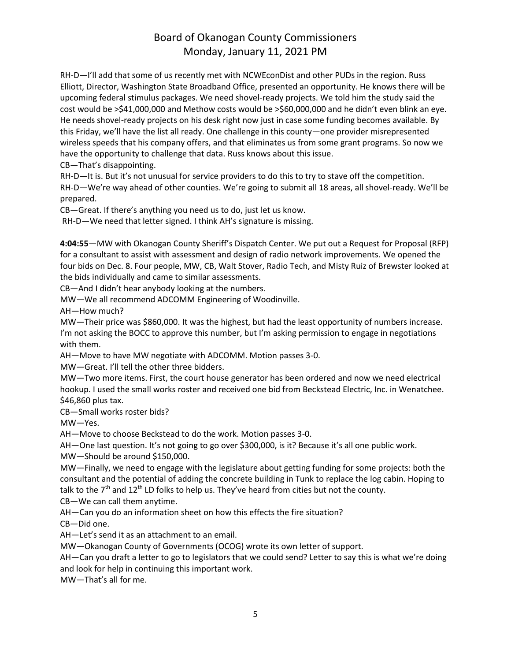RH-D—I'll add that some of us recently met with NCWEconDist and other PUDs in the region. Russ Elliott, Director, Washington State Broadband Office, presented an opportunity. He knows there will be upcoming federal stimulus packages. We need shovel-ready projects. We told him the study said the cost would be >\$41,000,000 and Methow costs would be >\$60,000,000 and he didn't even blink an eye. He needs shovel-ready projects on his desk right now just in case some funding becomes available. By this Friday, we'll have the list all ready. One challenge in this county—one provider misrepresented wireless speeds that his company offers, and that eliminates us from some grant programs. So now we have the opportunity to challenge that data. Russ knows about this issue.

CB—That's disappointing.

RH-D—It is. But it's not unusual for service providers to do this to try to stave off the competition. RH-D—We're way ahead of other counties. We're going to submit all 18 areas, all shovel-ready. We'll be prepared.

CB—Great. If there's anything you need us to do, just let us know.

RH-D—We need that letter signed. I think AH's signature is missing.

**4:04:55**—MW with Okanogan County Sheriff's Dispatch Center. We put out a Request for Proposal (RFP) for a consultant to assist with assessment and design of radio network improvements. We opened the four bids on Dec. 8. Four people, MW, CB, Walt Stover, Radio Tech, and Misty Ruiz of Brewster looked at the bids individually and came to similar assessments.

CB—And I didn't hear anybody looking at the numbers.

MW—We all recommend ADCOMM Engineering of Woodinville.

AH—How much?

MW—Their price was \$860,000. It was the highest, but had the least opportunity of numbers increase. I'm not asking the BOCC to approve this number, but I'm asking permission to engage in negotiations with them.

AH—Move to have MW negotiate with ADCOMM. Motion passes 3-0.

MW—Great. I'll tell the other three bidders.

MW—Two more items. First, the court house generator has been ordered and now we need electrical hookup. I used the small works roster and received one bid from Beckstead Electric, Inc. in Wenatchee. \$46,860 plus tax.

CB—Small works roster bids?

MW—Yes.

AH—Move to choose Beckstead to do the work. Motion passes 3-0.

AH—One last question. It's not going to go over \$300,000, is it? Because it's all one public work.

MW—Should be around \$150,000.

MW—Finally, we need to engage with the legislature about getting funding for some projects: both the consultant and the potential of adding the concrete building in Tunk to replace the log cabin. Hoping to talk to the  $7<sup>th</sup>$  and 12<sup>th</sup> LD folks to help us. They've heard from cities but not the county.

CB—We can call them anytime.

AH—Can you do an information sheet on how this effects the fire situation?

CB—Did one.

AH—Let's send it as an attachment to an email.

MW—Okanogan County of Governments (OCOG) wrote its own letter of support.

AH—Can you draft a letter to go to legislators that we could send? Letter to say this is what we're doing and look for help in continuing this important work.

MW—That's all for me.